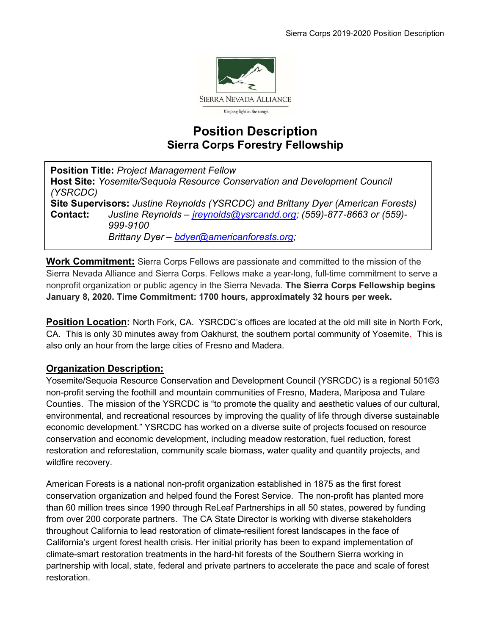

# Position Description Sierra Corps Forestry Fellowship

Position Title: Project Management Fellow Host Site: Yosemite/Sequoia Resource Conservation and Development Council (YSRCDC) Site Supervisors: Justine Reynolds (YSRCDC) and Brittany Dyer (American Forests) Contact: Justine Reynolds – jreynolds@ysrcandd.org; (559)-877-8663 or (559)- 999-9100 Brittany Dyer – bdyer@americanforests.org;

Work Commitment: Sierra Corps Fellows are passionate and committed to the mission of the Sierra Nevada Alliance and Sierra Corps. Fellows make a year-long, full-time commitment to serve a nonprofit organization or public agency in the Sierra Nevada. The Sierra Corps Fellowship begins January 8, 2020. Time Commitment: 1700 hours, approximately 32 hours per week.

Position Location: North Fork, CA. YSRCDC's offices are located at the old mill site in North Fork, CA. This is only 30 minutes away from Oakhurst, the southern portal community of Yosemite. This is also only an hour from the large cities of Fresno and Madera.

## Organization Description:

 $\ddot{\phantom{a}}$ 

Yosemite/Sequoia Resource Conservation and Development Council (YSRCDC) is a regional 501©3 non-profit serving the foothill and mountain communities of Fresno, Madera, Mariposa and Tulare Counties. The mission of the YSRCDC is "to promote the quality and aesthetic values of our cultural, environmental, and recreational resources by improving the quality of life through diverse sustainable economic development." YSRCDC has worked on a diverse suite of projects focused on resource conservation and economic development, including meadow restoration, fuel reduction, forest restoration and reforestation, community scale biomass, water quality and quantity projects, and wildfire recovery.

American Forests is a national non-profit organization established in 1875 as the first forest conservation organization and helped found the Forest Service. The non-profit has planted more than 60 million trees since 1990 through ReLeaf Partnerships in all 50 states, powered by funding from over 200 corporate partners. The CA State Director is working with diverse stakeholders throughout California to lead restoration of climate-resilient forest landscapes in the face of California's urgent forest health crisis. Her initial priority has been to expand implementation of climate-smart restoration treatments in the hard-hit forests of the Southern Sierra working in partnership with local, state, federal and private partners to accelerate the pace and scale of forest restoration.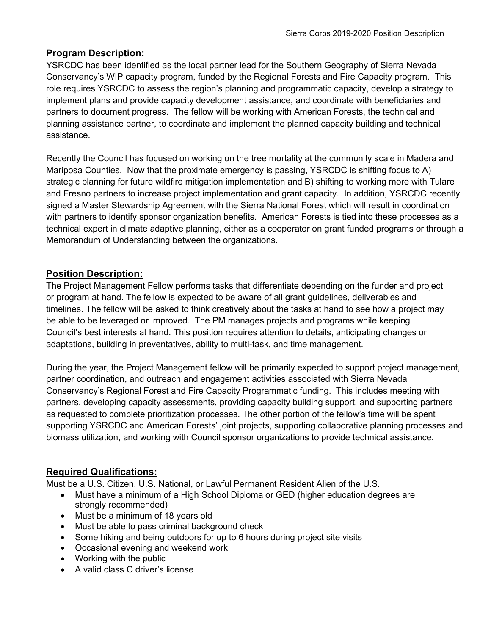#### Program Description:

YSRCDC has been identified as the local partner lead for the Southern Geography of Sierra Nevada Conservancy's WIP capacity program, funded by the Regional Forests and Fire Capacity program. This role requires YSRCDC to assess the region's planning and programmatic capacity, develop a strategy to implement plans and provide capacity development assistance, and coordinate with beneficiaries and partners to document progress. The fellow will be working with American Forests, the technical and planning assistance partner, to coordinate and implement the planned capacity building and technical assistance.

Recently the Council has focused on working on the tree mortality at the community scale in Madera and Mariposa Counties. Now that the proximate emergency is passing, YSRCDC is shifting focus to A) strategic planning for future wildfire mitigation implementation and B) shifting to working more with Tulare and Fresno partners to increase project implementation and grant capacity. In addition, YSRCDC recently signed a Master Stewardship Agreement with the Sierra National Forest which will result in coordination with partners to identify sponsor organization benefits. American Forests is tied into these processes as a technical expert in climate adaptive planning, either as a cooperator on grant funded programs or through a Memorandum of Understanding between the organizations.

## Position Description:

The Project Management Fellow performs tasks that differentiate depending on the funder and project or program at hand. The fellow is expected to be aware of all grant guidelines, deliverables and timelines. The fellow will be asked to think creatively about the tasks at hand to see how a project may be able to be leveraged or improved. The PM manages projects and programs while keeping Council's best interests at hand. This position requires attention to details, anticipating changes or adaptations, building in preventatives, ability to multi-task, and time management.

During the year, the Project Management fellow will be primarily expected to support project management, partner coordination, and outreach and engagement activities associated with Sierra Nevada Conservancy's Regional Forest and Fire Capacity Programmatic funding. This includes meeting with partners, developing capacity assessments, providing capacity building support, and supporting partners as requested to complete prioritization processes. The other portion of the fellow's time will be spent supporting YSRCDC and American Forests' joint projects, supporting collaborative planning processes and biomass utilization, and working with Council sponsor organizations to provide technical assistance.

## Required Qualifications:

Must be a U.S. Citizen, U.S. National, or Lawful Permanent Resident Alien of the U.S.

- Must have a minimum of a High School Diploma or GED (higher education degrees are strongly recommended)
- Must be a minimum of 18 years old
- Must be able to pass criminal background check
- Some hiking and being outdoors for up to 6 hours during project site visits
- Occasional evening and weekend work
- Working with the public
- A valid class C driver's license